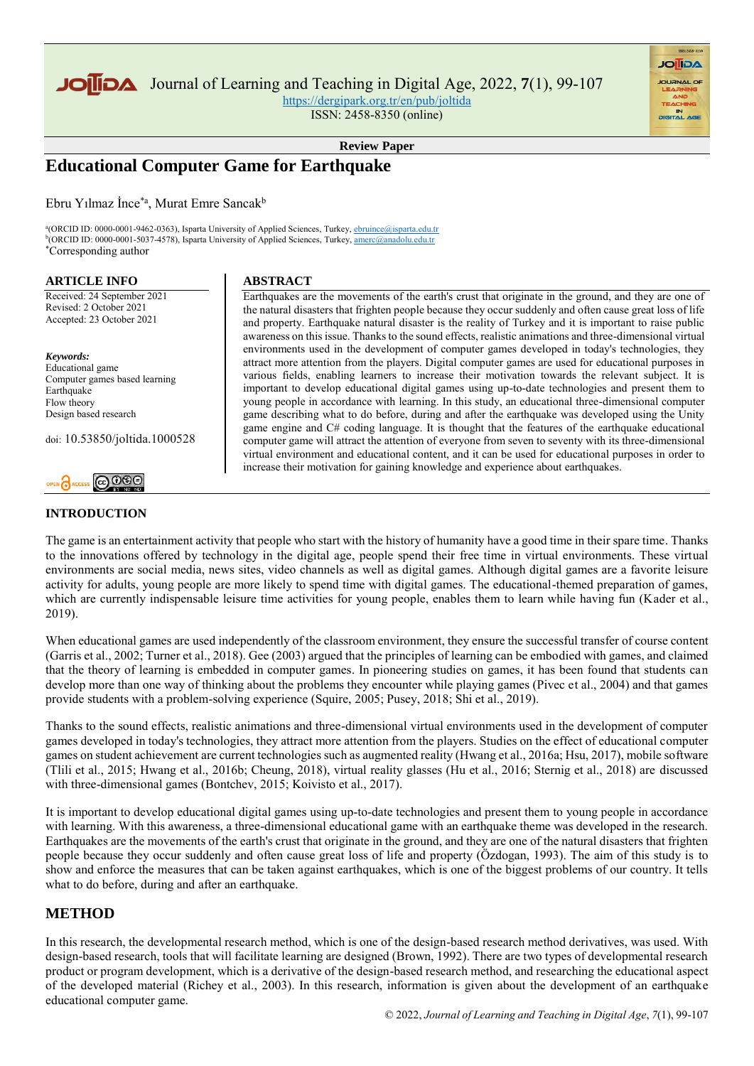

Journal of Learning and Teaching in Digital Age, 2022, **7**(1), 99-107

<https://dergipark.org.tr/en/pub/joltida> ISSN: 2458-8350 (online)

**AGIIOL** 

**Review Paper**

# **Educational Computer Game for Earthquake**

Ebru Yılmaz İnce\*a, Murat Emre Sancak<sup>b</sup>

<sup>a</sup>(ORCID ID: 0000-0001-9462-0363), Isparta University of Applied Sciences, Turkey, *ebruince*@isparta.edu.tr <sup>b</sup>(ORCID ID: 0000-0001-5037-4578), Isparta University of Applied Sciences, Turkey[, amerc@anadolu.edu.tr](amerc@anadolu.edu.tr%20) \*Corresponding author

### **ARTICLE INFO**

Received: 24 September 2021 Revised: 2 October 2021 Accepted: 23 October 2021

*Keywords:* Educational game Computer games based learning Earthquake Flow theory Design based research

doi: 10.53850/joltida.1000528

# $\odot$  000

# **INTRODUCTION**

### **ABSTRACT**

Earthquakes are the movements of the earth's crust that originate in the ground, and they are one of the natural disasters that frighten people because they occur suddenly and often cause great loss of life and property. Earthquake natural disaster is the reality of Turkey and it is important to raise public awareness on this issue. Thanks to the sound effects, realistic animations and three-dimensional virtual environments used in the development of computer games developed in today's technologies, they attract more attention from the players. Digital computer games are used for educational purposes in various fields, enabling learners to increase their motivation towards the relevant subject. It is important to develop educational digital games using up-to-date technologies and present them to young people in accordance with learning. In this study, an educational three-dimensional computer game describing what to do before, during and after the earthquake was developed using the Unity game engine and C# coding language. It is thought that the features of the earthquake educational computer game will attract the attention of everyone from seven to seventy with its three-dimensional virtual environment and educational content, and it can be used for educational purposes in order to increase their motivation for gaining knowledge and experience about earthquakes.

The game is an entertainment activity that people who start with the history of humanity have a good time in their spare time. Thanks to the innovations offered by technology in the digital age, people spend their free time in virtual environments. These virtual environments are social media, news sites, video channels as well as digital games. Although digital games are a favorite leisure activity for adults, young people are more likely to spend time with digital games. The educational-themed preparation of games, which are currently indispensable leisure time activities for young people, enables them to learn while having fun (Kader et al., 2019).

When educational games are used independently of the classroom environment, they ensure the successful transfer of course content (Garris et al., 2002; Turner et al., 2018). Gee (2003) argued that the principles of learning can be embodied with games, and claimed that the theory of learning is embedded in computer games. In pioneering studies on games, it has been found that students can develop more than one way of thinking about the problems they encounter while playing games (Pivec et al., 2004) and that games provide students with a problem-solving experience (Squire, 2005; Pusey, 2018; Shi et al., 2019).

Thanks to the sound effects, realistic animations and three-dimensional virtual environments used in the development of computer games developed in today's technologies, they attract more attention from the players. Studies on the effect of educational computer games on student achievement are current technologies such as augmented reality (Hwang et al., 2016a; Hsu, 2017), mobile software (Tlili et al., 2015; Hwang et al., 2016b; Cheung, 2018), virtual reality glasses (Hu et al., 2016; Sternig et al., 2018) are discussed with three-dimensional games (Bontchev, 2015; Koivisto et al., 2017).

It is important to develop educational digital games using up-to-date technologies and present them to young people in accordance with learning. With this awareness, a three-dimensional educational game with an earthquake theme was developed in the research. Earthquakes are the movements of the earth's crust that originate in the ground, and they are one of the natural disasters that frighten people because they occur suddenly and often cause great loss of life and property (Özdogan, 1993). The aim of this study is to show and enforce the measures that can be taken against earthquakes, which is one of the biggest problems of our country. It tells what to do before, during and after an earthquake.

# **METHOD**

In this research, the developmental research method, which is one of the design-based research method derivatives, was used. With design-based research, tools that will facilitate learning are designed (Brown, 1992). There are two types of developmental research product or program development, which is a derivative of the design-based research method, and researching the educational aspect of the developed material (Richey et al., 2003). In this research, information is given about the development of an earthquake educational computer game.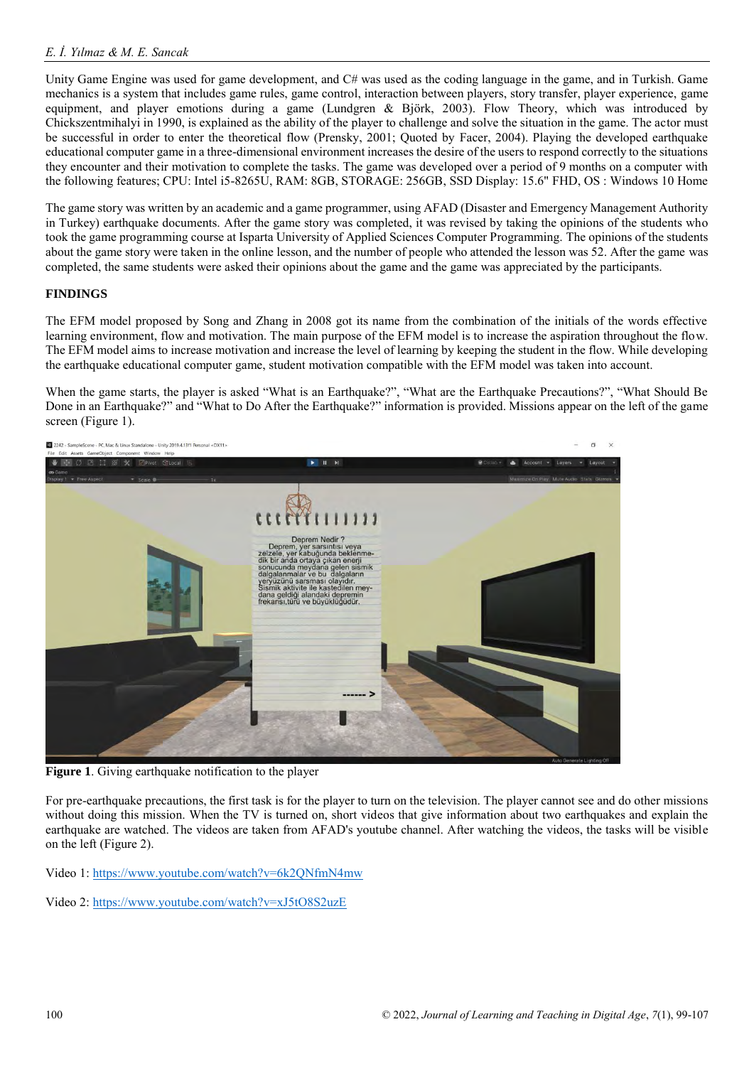Unity Game Engine was used for game development, and C# was used as the coding language in the game, and in Turkish. Game mechanics is a system that includes game rules, game control, interaction between players, story transfer, player experience, game equipment, and player emotions during a game (Lundgren & Björk, 2003). Flow Theory, which was introduced by Chickszentmihalyi in 1990, is explained as the ability of the player to challenge and solve the situation in the game. The actor must be successful in order to enter the theoretical flow (Prensky, 2001; Quoted by Facer, 2004). Playing the developed earthquake educational computer game in a three-dimensional environment increases the desire of the users to respond correctly to the situations they encounter and their motivation to complete the tasks. The game was developed over a period of 9 months on a computer with the following features; CPU: Intel i5-8265U, RAM: 8GB, STORAGE: 256GB, SSD Display: 15.6" FHD, OS : Windows 10 Home

The game story was written by an academic and a game programmer, using AFAD (Disaster and Emergency Management Authority in Turkey) earthquake documents. After the game story was completed, it was revised by taking the opinions of the students who took the game programming course at Isparta University of Applied Sciences Computer Programming. The opinions of the students about the game story were taken in the online lesson, and the number of people who attended the lesson was 52. After the game was completed, the same students were asked their opinions about the game and the game was appreciated by the participants.

## **FINDINGS**

The EFM model proposed by Song and Zhang in 2008 got its name from the combination of the initials of the words effective learning environment, flow and motivation. The main purpose of the EFM model is to increase the aspiration throughout the flow. The EFM model aims to increase motivation and increase the level of learning by keeping the student in the flow. While developing the earthquake educational computer game, student motivation compatible with the EFM model was taken into account.

When the game starts, the player is asked "What is an Earthquake?", "What are the Earthquake Precautions?", "What Should Be Done in an Earthquake?" and "What to Do After the Earthquake?" information is provided. Missions appear on the left of the game screen (Figure 1).



**Figure 1.** Giving earthquake notification to the player

For pre-earthquake precautions, the first task is for the player to turn on the television. The player cannot see and do other missions without doing this mission. When the TV is turned on, short videos that give information about two earthquakes and explain the earthquake are watched. The videos are taken from AFAD's youtube channel. After watching the videos, the tasks will be visible on the left (Figure 2).

Video 1:<https://www.youtube.com/watch?v=6k2QNfmN4mw>

Video 2:<https://www.youtube.com/watch?v=xJ5tO8S2uzE>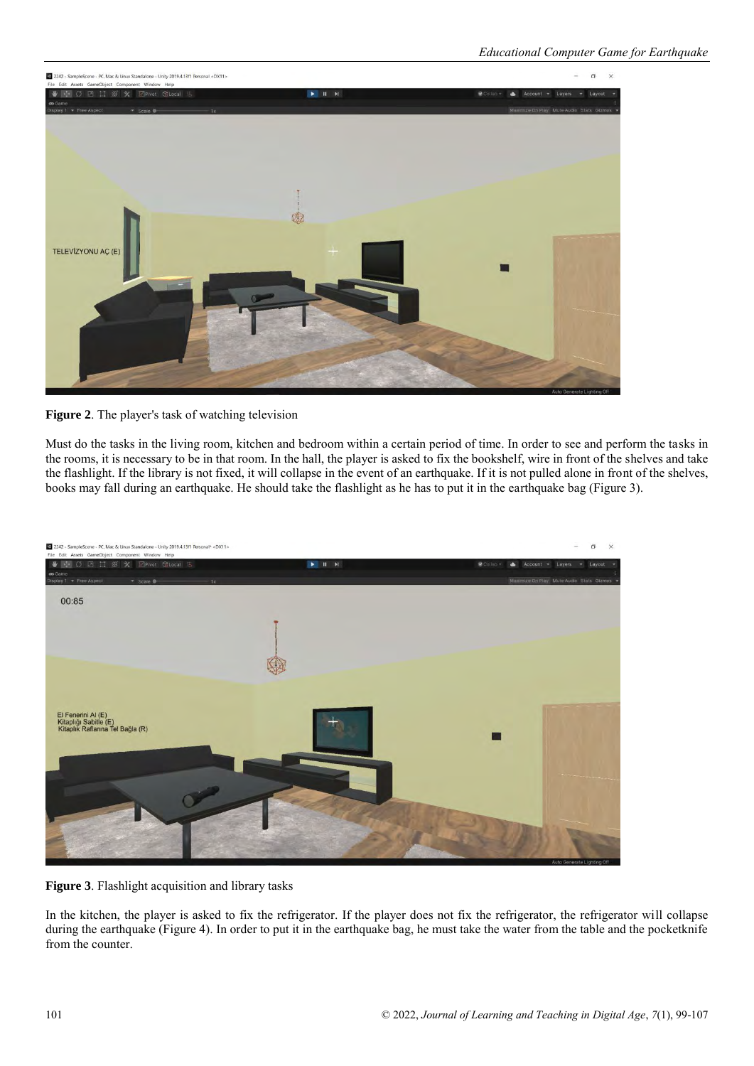



Must do the tasks in the living room, kitchen and bedroom within a certain period of time. In order to see and perform the tasks in the rooms, it is necessary to be in that room. In the hall, the player is asked to fix the bookshelf, wire in front of the shelves and take the flashlight. If the library is not fixed, it will collapse in the event of an earthquake. If it is not pulled alone in front of the shelves, books may fall during an earthquake. He should take the flashlight as he has to put it in the earthquake bag (Figure 3).



**Figure 3**. Flashlight acquisition and library tasks

In the kitchen, the player is asked to fix the refrigerator. If the player does not fix the refrigerator, the refrigerator will collapse during the earthquake (Figure 4). In order to put it in the earthquake bag, he must take the water from the table and the pocketknife from the counter.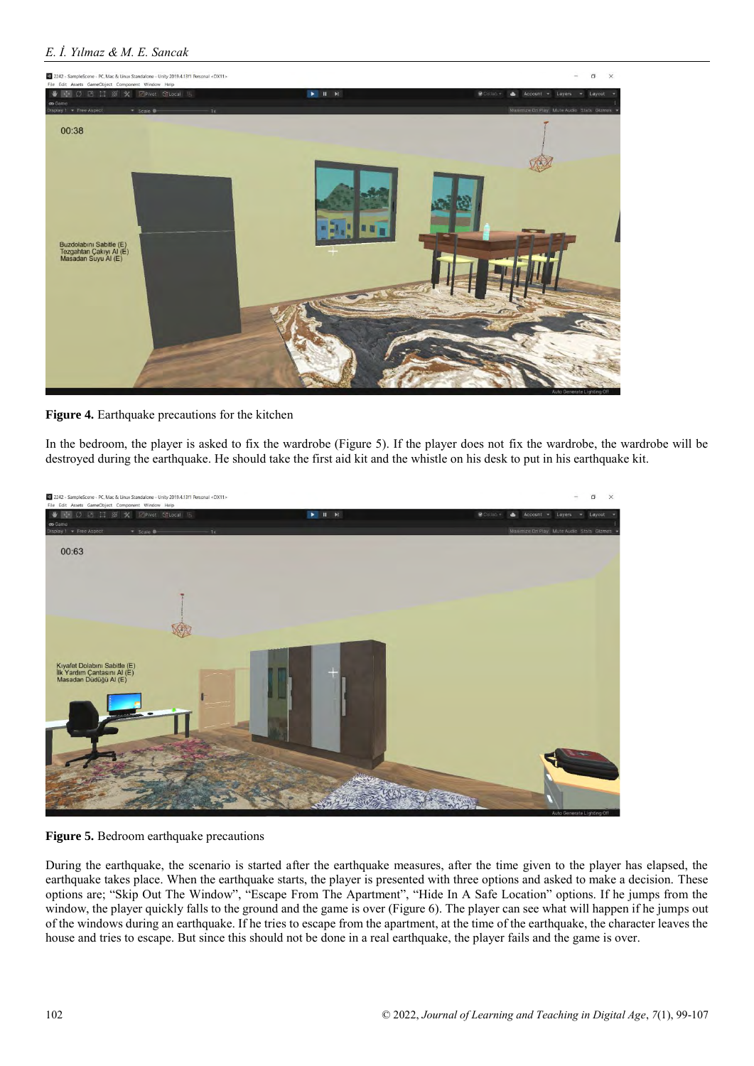

**Figure 4.** Earthquake precautions for the kitchen

In the bedroom, the player is asked to fix the wardrobe (Figure 5). If the player does not fix the wardrobe, the wardrobe will be destroyed during the earthquake. He should take the first aid kit and the whistle on his desk to put in his earthquake kit.



**Figure 5.** Bedroom earthquake precautions

During the earthquake, the scenario is started after the earthquake measures, after the time given to the player has elapsed, the earthquake takes place. When the earthquake starts, the player is presented with three options and asked to make a decision. These options are; "Skip Out The Window", "Escape From The Apartment", "Hide In A Safe Location" options. If he jumps from the window, the player quickly falls to the ground and the game is over (Figure 6). The player can see what will happen if he jumps out of the windows during an earthquake. If he tries to escape from the apartment, at the time of the earthquake, the character leaves the house and tries to escape. But since this should not be done in a real earthquake, the player fails and the game is over.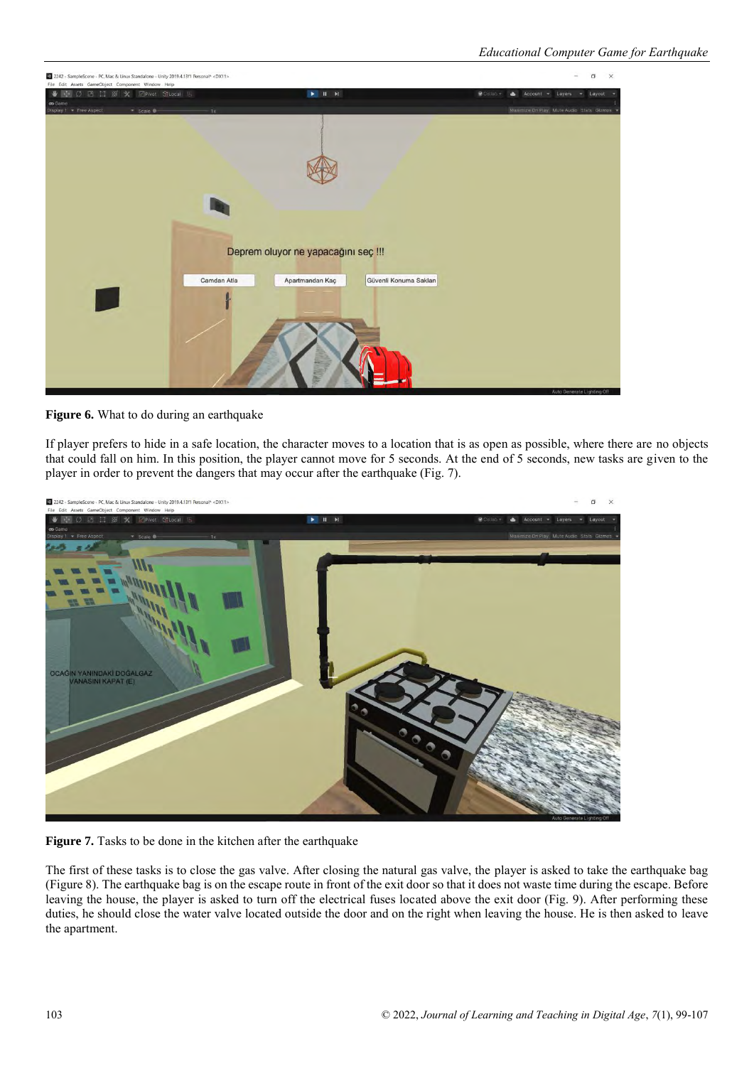![](_page_4_Picture_1.jpeg)

**Figure 6.** What to do during an earthquake

If player prefers to hide in a safe location, the character moves to a location that is as open as possible, where there are no objects that could fall on him. In this position, the player cannot move for 5 seconds. At the end of 5 seconds, new tasks are given to the player in order to prevent the dangers that may occur after the earthquake (Fig. 7).

![](_page_4_Picture_4.jpeg)

**Figure 7.** Tasks to be done in the kitchen after the earthquake

The first of these tasks is to close the gas valve. After closing the natural gas valve, the player is asked to take the earthquake bag (Figure 8). The earthquake bag is on the escape route in front of the exit door so that it does not waste time during the escape. Before leaving the house, the player is asked to turn off the electrical fuses located above the exit door (Fig. 9). After performing these duties, he should close the water valve located outside the door and on the right when leaving the house. He is then asked to leave the apartment.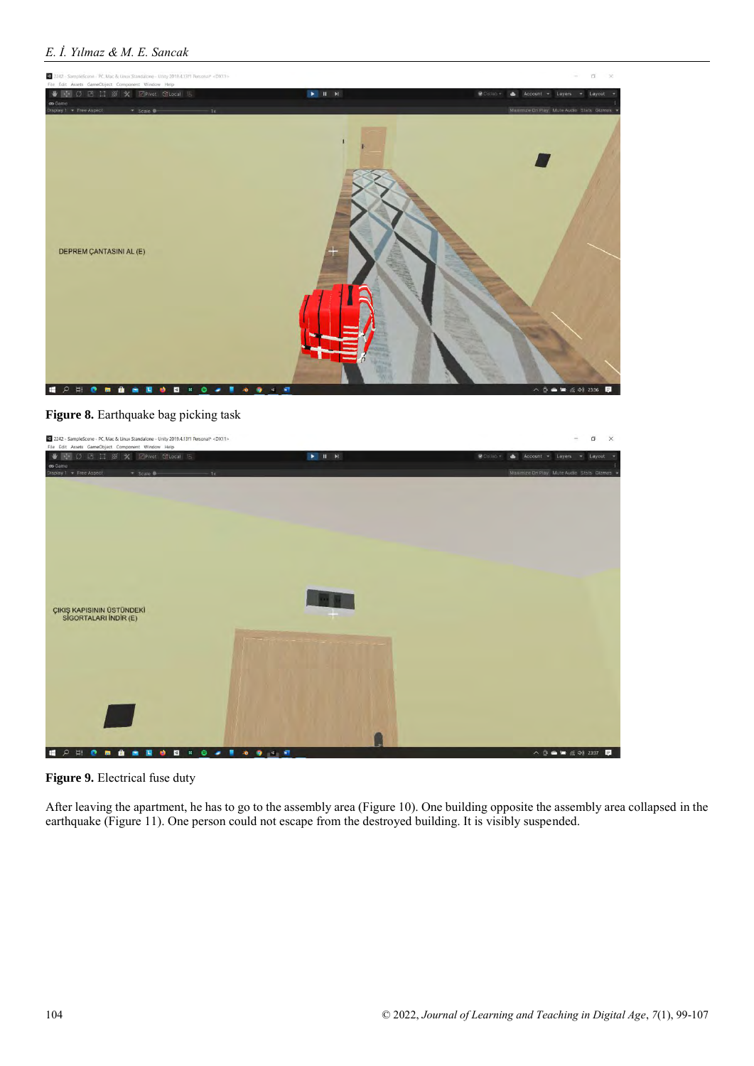# *E. İ. Yılmaz & M. E. Sancak*

![](_page_5_Picture_1.jpeg)

**Figure 8.** Earthquake bag picking task

![](_page_5_Picture_3.jpeg)

**Figure 9.** Electrical fuse duty

After leaving the apartment, he has to go to the assembly area (Figure 10). One building opposite the assembly area collapsed in the earthquake (Figure 11). One person could not escape from the destroyed building. It is visibly suspended.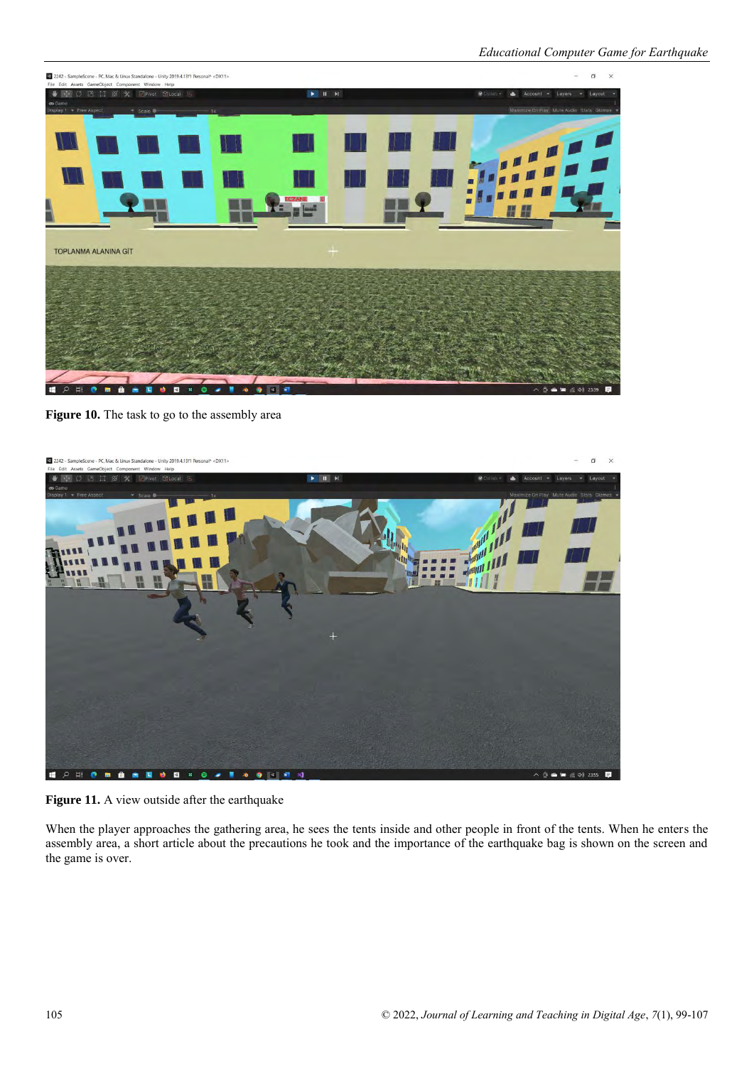![](_page_6_Picture_1.jpeg)

**Figure 10.** The task to go to the assembly area

![](_page_6_Picture_3.jpeg)

Figure 11. A view outside after the earthquake

When the player approaches the gathering area, he sees the tents inside and other people in front of the tents. When he enters the assembly area, a short article about the precautions he took and the importance of the earthquake bag is shown on the screen and the game is over.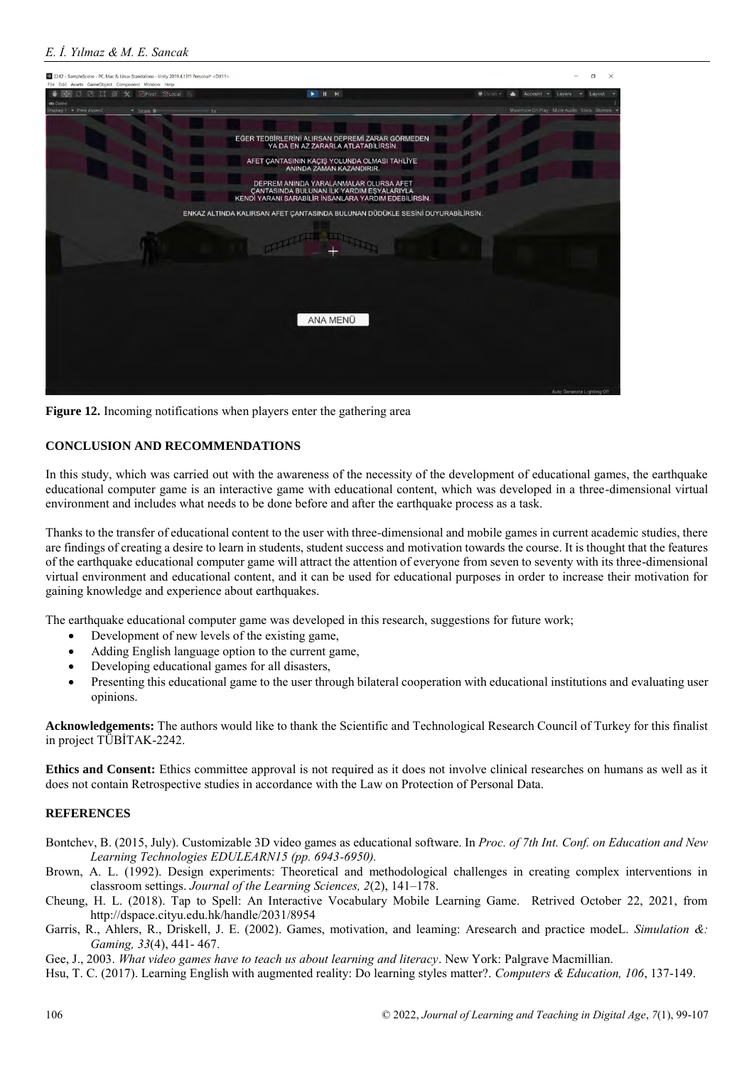![](_page_7_Picture_1.jpeg)

**Figure 12.** Incoming notifications when players enter the gathering area

# **CONCLUSION AND RECOMMENDATIONS**

In this study, which was carried out with the awareness of the necessity of the development of educational games, the earthquake educational computer game is an interactive game with educational content, which was developed in a three-dimensional virtual environment and includes what needs to be done before and after the earthquake process as a task.

Thanks to the transfer of educational content to the user with three-dimensional and mobile games in current academic studies, there are findings of creating a desire to learn in students, student success and motivation towards the course. It is thought that the features of the earthquake educational computer game will attract the attention of everyone from seven to seventy with its three-dimensional virtual environment and educational content, and it can be used for educational purposes in order to increase their motivation for gaining knowledge and experience about earthquakes.

The earthquake educational computer game was developed in this research, suggestions for future work;

- Development of new levels of the existing game,
- Adding English language option to the current game,
- Developing educational games for all disasters,
- Presenting this educational game to the user through bilateral cooperation with educational institutions and evaluating user opinions.

**Acknowledgements:** The authors would like to thank the Scientific and Technological Research Council of Turkey for this finalist in project TÜBİTAK-2242.

**Ethics and Consent:** Ethics committee approval is not required as it does not involve clinical researches on humans as well as it does not contain Retrospective studies in accordance with the Law on Protection of Personal Data.

### **REFERENCES**

- Bontchev, B. (2015, July). Customizable 3D video games as educational software. In *Proc. of 7th Int. Conf. on Education and New Learning Technologies EDULEARN15 (pp. 6943-6950).*
- Brown, A. L. (1992). Design experiments: Theoretical and methodological challenges in creating complex interventions in classroom settings. *Journal of the Learning Sciences, 2*(2), 141–178.
- Cheung, H. L. (2018). Tap to Spell: An Interactive Vocabulary Mobile Learning Game. Retrived October 22, 2021, from http://dspace.cityu.edu.hk/handle/2031/8954
- Garris, R., Ahlers, R., Driskell, J. E. (2002). Games, motivation, and leaming: Aresearch and practice modeL. *Simulation &: Gaming, 33*(4), 441- 467.

Gee, J., 2003. *What video games have to teach us about learning and literacy*. New York: Palgrave Macmillian.

Hsu, T. C. (2017). Learning English with augmented reality: Do learning styles matter?. *Computers & Education, 106*, 137-149.